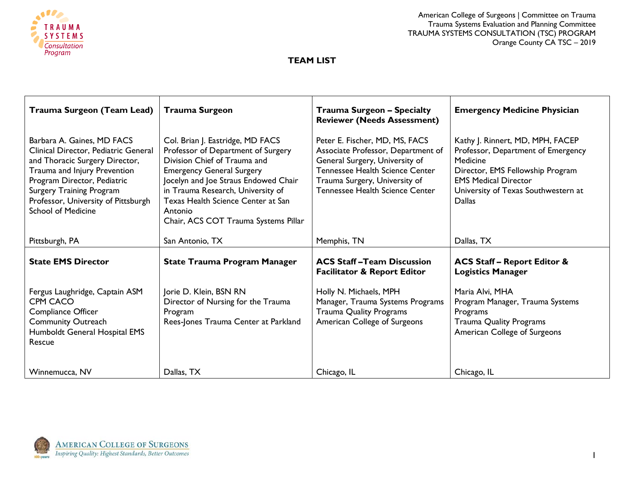

# **TEAM LIST**

| Trauma Surgeon (Team Lead)                                                                                                                                                                                                                                                 | <b>Trauma Surgeon</b>                                                                                                                                                                                                                                                                                            | <b>Trauma Surgeon - Specialty</b><br><b>Reviewer (Needs Assessment)</b>                                                                                                                                       | <b>Emergency Medicine Physician</b>                                                                                                                                                                           |
|----------------------------------------------------------------------------------------------------------------------------------------------------------------------------------------------------------------------------------------------------------------------------|------------------------------------------------------------------------------------------------------------------------------------------------------------------------------------------------------------------------------------------------------------------------------------------------------------------|---------------------------------------------------------------------------------------------------------------------------------------------------------------------------------------------------------------|---------------------------------------------------------------------------------------------------------------------------------------------------------------------------------------------------------------|
| Barbara A. Gaines, MD FACS<br>Clinical Director, Pediatric General<br>and Thoracic Surgery Director,<br>Trauma and Injury Prevention<br>Program Director, Pediatric<br><b>Surgery Training Program</b><br>Professor, University of Pittsburgh<br><b>School of Medicine</b> | Col. Brian J. Eastridge, MD FACS<br>Professor of Department of Surgery<br>Division Chief of Trauma and<br><b>Emergency General Surgery</b><br>Jocelyn and Joe Straus Endowed Chair<br>in Trauma Research, University of<br>Texas Health Science Center at San<br>Antonio<br>Chair, ACS COT Trauma Systems Pillar | Peter E. Fischer, MD, MS, FACS<br>Associate Professor, Department of<br>General Surgery, University of<br>Tennessee Health Science Center<br>Trauma Surgery, University of<br>Tennessee Health Science Center | Kathy J. Rinnert, MD, MPH, FACEP<br>Professor, Department of Emergency<br>Medicine<br>Director, EMS Fellowship Program<br><b>EMS Medical Director</b><br>University of Texas Southwestern at<br><b>Dallas</b> |
| Pittsburgh, PA                                                                                                                                                                                                                                                             | San Antonio, TX                                                                                                                                                                                                                                                                                                  | Memphis, TN                                                                                                                                                                                                   | Dallas, TX                                                                                                                                                                                                    |
| <b>State EMS Director</b>                                                                                                                                                                                                                                                  | <b>State Trauma Program Manager</b>                                                                                                                                                                                                                                                                              | <b>ACS Staff-Team Discussion</b><br><b>Facilitator &amp; Report Editor</b>                                                                                                                                    | <b>ACS Staff - Report Editor &amp;</b><br><b>Logistics Manager</b>                                                                                                                                            |
| Fergus Laughridge, Captain ASM<br><b>CPM CACO</b><br>Compliance Officer<br><b>Community Outreach</b><br>Humboldt General Hospital EMS<br>Rescue                                                                                                                            | Jorie D. Klein, BSN RN<br>Director of Nursing for the Trauma<br>Program<br>Rees-Jones Trauma Center at Parkland                                                                                                                                                                                                  | Holly N. Michaels, MPH<br>Manager, Trauma Systems Programs<br><b>Trauma Quality Programs</b><br>American College of Surgeons                                                                                  | Maria Alvi, MHA<br>Program Manager, Trauma Systems<br>Programs<br><b>Trauma Quality Programs</b><br>American College of Surgeons                                                                              |
| Winnemucca, NV                                                                                                                                                                                                                                                             | Dallas, TX                                                                                                                                                                                                                                                                                                       | Chicago, IL                                                                                                                                                                                                   | Chicago, IL                                                                                                                                                                                                   |

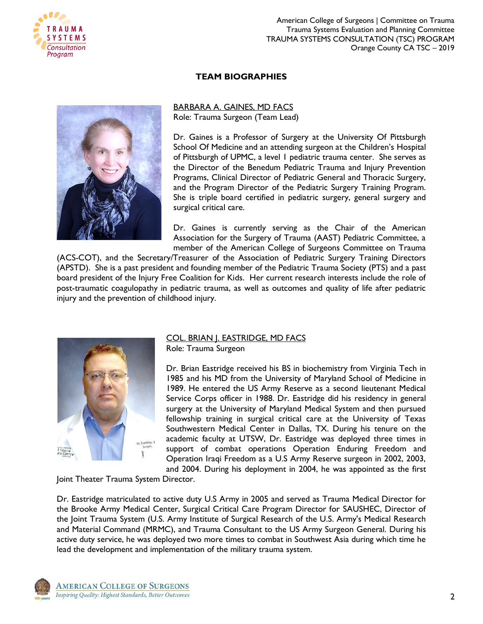

## **TEAM BIOGRAPHIES**

BARBARA A. GAINES, MD FACS Role: Trauma Surgeon (Team Lead)

Dr. Gaines is a Professor of Surgery at the University Of Pittsburgh School Of Medicine and an attending surgeon at the Children's Hospital of Pittsburgh of UPMC, a level 1 pediatric trauma center. She serves as the Director of the Benedum Pediatric Trauma and Injury Prevention Programs, Clinical Director of Pediatric General and Thoracic Surgery, and the Program Director of the Pediatric Surgery Training Program. She is triple board certified in pediatric surgery, general surgery and surgical critical care.

Dr. Gaines is currently serving as the Chair of the American Association for the Surgery of Trauma (AAST) Pediatric Committee, a member of the American College of Surgeons Committee on Trauma

(ACS-COT), and the Secretary/Treasurer of the Association of Pediatric Surgery Training Directors (APSTD). She is a past president and founding member of the Pediatric Trauma Society (PTS) and a past board president of the Injury Free Coalition for Kids. Her current research interests include the role of post-traumatic coagulopathy in pediatric trauma, as well as outcomes and quality of life after pediatric injury and the prevention of childhood injury.



# COL. BRIAN J. EASTRIDGE, MD FACS

Role: Trauma Surgeon

Dr. Brian Eastridge received his BS in biochemistry from Virginia Tech in 1985 and his MD from the University of Maryland School of Medicine in 1989. He entered the US Army Reserve as a second lieutenant Medical Service Corps officer in 1988. Dr. Eastridge did his residency in general surgery at the University of Maryland Medical System and then pursued fellowship training in surgical critical care at the University of Texas Southwestern Medical Center in Dallas, TX. During his tenure on the academic faculty at UTSW, Dr. Eastridge was deployed three times in support of combat operations Operation Enduring Freedom and Operation Iraqi Freedom as a U.S Army Reserve surgeon in 2002, 2003, and 2004. During his deployment in 2004, he was appointed as the first

Joint Theater Trauma System Director.

Dr. Eastridge matriculated to active duty U.S Army in 2005 and served as Trauma Medical Director for the Brooke Army Medical Center, Surgical Critical Care Program Director for SAUSHEC, Director of the Joint Trauma System (U.S. Army Institute of Surgical Research of the U.S. Army's Medical Research and Material Command (MRMC), and Trauma Consultant to the US Army Surgeon General. During his active duty service, he was deployed two more times to combat in Southwest Asia during which time he lead the development and implementation of the military trauma system.

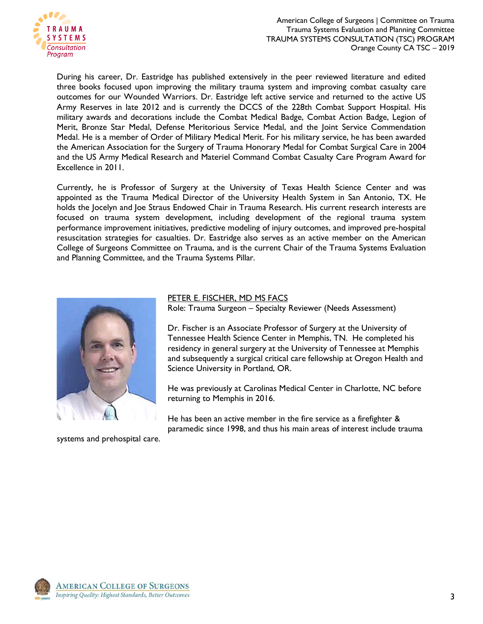

During his career, Dr. Eastridge has published extensively in the peer reviewed literature and edited three books focused upon improving the military trauma system and improving combat casualty care outcomes for our Wounded Warriors. Dr. Eastridge left active service and returned to the active US Army Reserves in late 2012 and is currently the DCCS of the 228th Combat Support Hospital. His military awards and decorations include the Combat Medical Badge, Combat Action Badge, Legion of Merit, Bronze Star Medal, Defense Meritorious Service Medal, and the Joint Service Commendation Medal. He is a member of Order of Military Medical Merit. For his military service, he has been awarded the American Association for the Surgery of Trauma Honorary Medal for Combat Surgical Care in 2004 and the US Army Medical Research and Materiel Command Combat Casualty Care Program Award for Excellence in 2011.

Currently, he is Professor of Surgery at the University of Texas Health Science Center and was appointed as the Trauma Medical Director of the University Health System in San Antonio, TX. He holds the Jocelyn and Joe Straus Endowed Chair in Trauma Research. His current research interests are focused on trauma system development, including development of the regional trauma system performance improvement initiatives, predictive modeling of injury outcomes, and improved pre-hospital resuscitation strategies for casualties. Dr. Eastridge also serves as an active member on the American College of Surgeons Committee on Trauma, and is the current Chair of the Trauma Systems Evaluation and Planning Committee, and the Trauma Systems Pillar.



systems and prehospital care.

PETER E. FISCHER, MD MS FACS

Role: Trauma Surgeon – Specialty Reviewer (Needs Assessment)

Dr. Fischer is an Associate Professor of Surgery at the University of Tennessee Health Science Center in Memphis, TN. He completed his residency in general surgery at the University of Tennessee at Memphis and subsequently a surgical critical care fellowship at Oregon Health and Science University in Portland, OR.

He was previously at Carolinas Medical Center in Charlotte, NC before returning to Memphis in 2016.

He has been an active member in the fire service as a firefighter & paramedic since 1998, and thus his main areas of interest include trauma

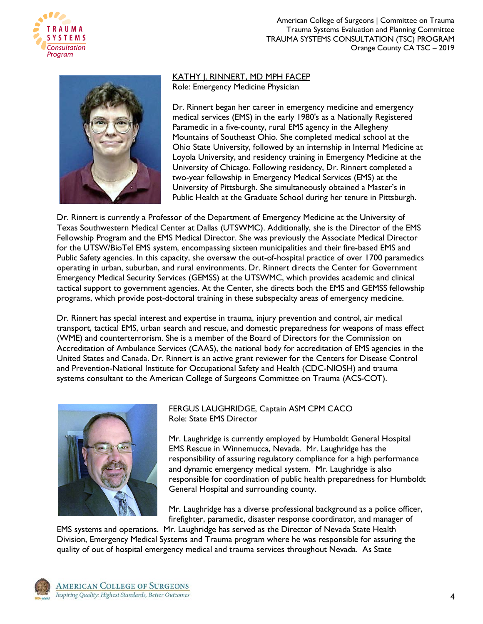



KATHY J. RINNERT, MD MPH FACEP Role: Emergency Medicine Physician

Dr. Rinnert began her career in emergency medicine and emergency medical services (EMS) in the early 1980's as a Nationally Registered Paramedic in a five-county, rural EMS agency in the Allegheny Mountains of Southeast Ohio. She completed medical school at the Ohio State University, followed by an internship in Internal Medicine at Loyola University, and residency training in Emergency Medicine at the University of Chicago. Following residency, Dr. Rinnert completed a two-year fellowship in Emergency Medical Services (EMS) at the University of Pittsburgh. She simultaneously obtained a Master's in Public Health at the Graduate School during her tenure in Pittsburgh.

Dr. Rinnert is currently a Professor of the Department of Emergency Medicine at the University of Texas Southwestern Medical Center at Dallas (UTSWMC). Additionally, she is the Director of the EMS Fellowship Program and the EMS Medical Director. She was previously the Associate Medical Director for the UTSW/BioTel EMS system, encompassing sixteen municipalities and their fire-based EMS and Public Safety agencies. In this capacity, she oversaw the out-of-hospital practice of over 1700 paramedics operating in urban, suburban, and rural environments. Dr. Rinnert directs the Center for Government Emergency Medical Security Services (GEMSS) at the UTSWMC, which provides academic and clinical tactical support to government agencies. At the Center, she directs both the EMS and GEMSS fellowship programs, which provide post-doctoral training in these subspecialty areas of emergency medicine.

Dr. Rinnert has special interest and expertise in trauma, injury prevention and control, air medical transport, tactical EMS, urban search and rescue, and domestic preparedness for weapons of mass effect (WME) and counterterrorism. She is a member of the Board of Directors for the Commission on Accreditation of Ambulance Services (CAAS), the national body for accreditation of EMS agencies in the United States and Canada. Dr. Rinnert is an active grant reviewer for the Centers for Disease Control and Prevention-National Institute for Occupational Safety and Health (CDC-NIOSH) and trauma systems consultant to the American College of Surgeons Committee on Trauma (ACS-COT).



#### FERGUS LAUGHRIDGE, Captain ASM CPM CACO Role: State EMS Director

Mr. Laughridge is currently employed by Humboldt General Hospital EMS Rescue in Winnemucca, Nevada. Mr. Laughridge has the responsibility of assuring regulatory compliance for a high performance and dynamic emergency medical system. Mr. Laughridge is also responsible for coordination of public health preparedness for Humboldt General Hospital and surrounding county.

Mr. Laughridge has a diverse professional background as a police officer, firefighter, paramedic, disaster response coordinator, and manager of

EMS systems and operations. Mr. Laughridge has served as the Director of Nevada State Health Division, Emergency Medical Systems and Trauma program where he was responsible for assuring the quality of out of hospital emergency medical and trauma services throughout Nevada. As State

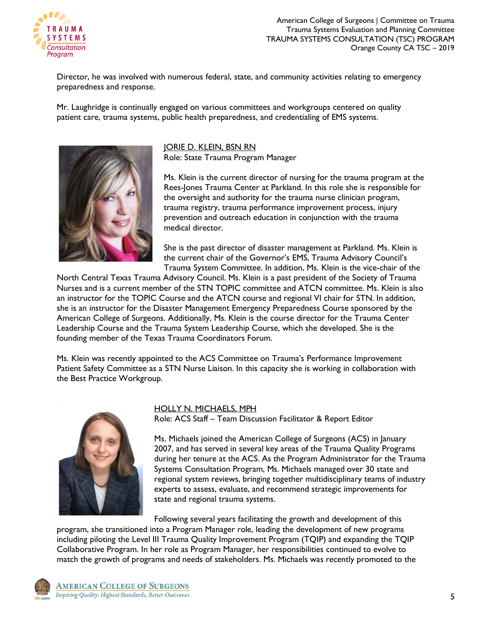

Director, he was involved with numerous federal, state, and community activities relating to emergency preparedness and response.

Mr. Laughridge is continually engaged on various committees and workgroups centered on quality patient care, trauma systems, public health preparedness, and credentialing of EMS systems.



JORIE D. KLEIN, BSN RN Role: State Trauma Program Manager

Ms. Klein is the current director of nursing for the trauma program at the Rees-Jones Trauma Center at Parkland. In this role she is responsible for the oversight and authority for the trauma nurse clinician program, trauma registry, trauma performance improvement process, injury prevention and outreach education in conjunction with the trauma medical director.

She is the past director of disaster management at Parkland. Ms. Klein is the current chair of the Governor's EMS, Trauma Advisory Council's Trauma System Committee. In addition, Ms. Klein is the vice-chair of the

North Central Texas Trauma Advisory Council. Ms. Klein is a past president of the Society of Trauma Nurses and is a current member of the STN TOPIC committee and ATCN committee. Ms. Klein is also an instructor for the TOPIC Course and the ATCN course and regional VI chair for STN. In addition, she is an instructor for the Disaster Management Emergency Preparedness Course sponsored by the American College of Surgeons. Additionally, Ms. Klein is the course director for the Trauma Center Leadership Course and the Trauma System Leadership Course, which she developed. She is the founding member of the Texas Trauma Coordinators Forum.

Ms. Klein was recently appointed to the ACS Committee on Trauma's Performance Improvement Patient Safety Committee as a STN Nurse Liaison. In this capacity she is working in collaboration with the Best Practice Workgroup.



## HOLLY N. MICHAELS, MPH

Role: ACS Staff – Team Discussion Facilitator & Report Editor

Ms. Michaels joined the American College of Surgeons (ACS) in January 2007, and has served in several key areas of the Trauma Quality Programs during her tenure at the ACS. As the Program Administrator for the Trauma Systems Consultation Program, Ms. Michaels managed over 30 state and regional system reviews, bringing together multidisciplinary teams of industry experts to assess, evaluate, and recommend strategic improvements for state and regional trauma systems.

Following several years facilitating the growth and development of this

program, she transitioned into a Program Manager role, leading the development of new programs including piloting the Level III Trauma Quality Improvement Program (TQIP) and expanding the TQIP Collaborative Program. In her role as Program Manager, her responsibilities continued to evolve to match the growth of programs and needs of stakeholders. Ms. Michaels was recently promoted to the